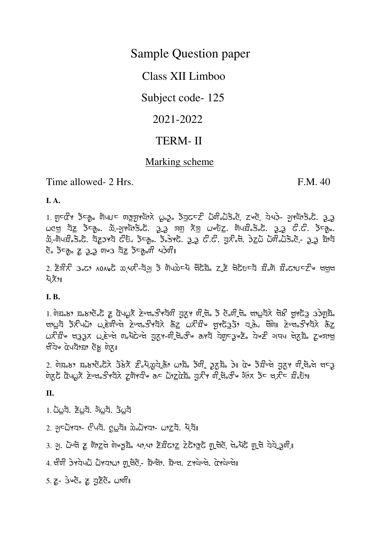**Sample Question paper** 

Class XII Limboo

Subject code-125

2021-2022

# **TERM-II**

## Marking scheme

Time allowed- 2 Hrs.

F.M. 40

 $\mathbf{I}$ . A.

1. ਗੁਰਕੌਮ ਡੋਰਨੂ, ਯੋਪਹਰ ਯਭੁਗੁਮਯੋਮੇਨੇ ( , ਡੂ, ਡੋਕੂਟਰਟੀ ਨੋਯੀ,ਨੋਡੋ, ਟੋ, ਟੋਅਟੋ, ਕੋਪੜੇ- ਹੁਮਯੋਮਤੋ,ਟੋ. ਤੁਰ  $\omega$ cv য় ইন্ত, উন্যুপন্টাই, 3.3 নত কৈ  $\omega$ ত্য় টাৰৱী, ই, 3.3  $\vec{c}$ . ইন্ত, ਫੌ. ਤੋਂ⊂ਨ੍ਹ. ਟੂ 3,3 ਧਾ⊌3 ਬੈਂਟ ਤੋਂ⊂ਨ੍ਹ.ਗ 4ੇਹੀਂ ।

2. ਟੋਤੀਨ 3°C) VOVPC 2017-ਹੱਤ ਹੈ ਯੋਪਲੇਟਪ ਖ਼ੁਟੂਸ਼ਿ ਟੱਬ ਖ਼ੁਟੂਸ਼ਟ ਸ਼ੁੰਘ ਸ਼ੁੰ 2012-20 ਪਰੰਖ പॆ⊼ँ୨॥

**I.B.** 

 $1.$   $\overline{0}$  ਸੁਣ ਅਤੇ ਸੁਣ ਹੈ ਸਿੰਪਲ੍ਹਨੋ ਟੇਪਖਣੀ ਮੈਂਬੰਧੀ ਬੁਨ੍ਹ ਸੰਬੰਧੀ ਤੋਂ ਫੋ. ਸਿੰਪੂਬੰਨ ਖਾ $\Delta$ ਬੋਨੇ ਖੋਲੀ ਖ਼ੁਮਯੋ $\Delta$  ਤੇ ਸਿੰਸ מוט אָלאָל אָלאָל (שַׁמָּא הָשׁתָּל הָבָא הָלָאָה הָלְאָל הָבָאִיל הָלְאָל הָבָאִיל הָבָ  $\omega$ ਨੇ ਸ਼ੌਰ ਬਤਤਨ  $\omega$ ਣੇ ਖੇ ਗਰਪੋਟੇ ਖੇ ਹਨ। ਜੀ ਗਰਪੀ ਰਾਮਣੇ ਕੇਸ਼ਟਰ ਵੈਨ ਕੇ ਸ਼ੈਨ ਅਧਿ ਖੇਨ ਸ਼ੈਰ ਨੂੰ ਸ਼ पेये पेपयेंग्र्य देस पेरा

 $\overline{0}$ ਸੋਨਟੋ ਕੋਪੂ ਨੇ ਟੇਪੂਰ ਤੀ ਬੈਨੇ ਟਯਾਬੰਦ ਨਵ ਨੇ ਕੋਟੋ ਕੋਟੋ ਕੀ ਬੈਨੇ ਕਾਨ ਹੈ ਕੇ ਬੈਨੇ ਬੈਨੇ ਬੈਨੇ ਬੈਨੇ

II.

 $1.$   $\ddot{\omega}$  $\omega$ ā,  $\ddot{z}$ ωā,  $\ddot{\omega}$ ā,  $\ddot{\omega}$ ā,  $3\omega$ ā

- 2.  $9$ )  $2\pi$   $\frac{1}{2}$   $\frac{1}{2}$   $\frac{1}{2}$   $\frac{1}{2}$   $\frac{1}{2}$   $\frac{1}{2}$   $\frac{1}{2}$   $\frac{1}{2}$   $\frac{1}{2}$   $\frac{1}{2}$   $\frac{1}{2}$   $\frac{1}{2}$   $\frac{1}{2}$   $\frac{1}{2}$   $\frac{1}{2}$   $\frac{1}{2}$   $\frac{1}{2}$   $\frac{1}{2}$   $\frac{1}{2}$   $\frac{1}{2}$   $\frac{1}{2$
- 3. ਹ. ධිමේ ද ਗੋ? ਵੇਖੋ ਪੋ ਕੁਝੈਂਡ 49,49 ਟੋਡੀਫ? ਟੁ ਟੇਫੋ? ਕੁਝੈਂ ਗ੍ਰੈਚੈਣੋ, ਖੇ ਪੈਰੋ ਗ੍ਰੈਚੈ ਕੇਕੇ ਤੁਹੀ, a

4. ਖੀਯੀ ਤੇ ਬੇਧਪਨੇ ਨੋ ਬਟਾ ਅਤੇ ਕਾਰੀ ਦੇ ਸ਼ਾਹੀ, ਬਾਖ, ਟਾਅੇ ਦੀ. ਕਾਅੇ ਦੇ ਜਾ

 $5.$   $Z - 3$  $6.$   $Z - 3$  $2$  $3.$   $\omega$  $9.$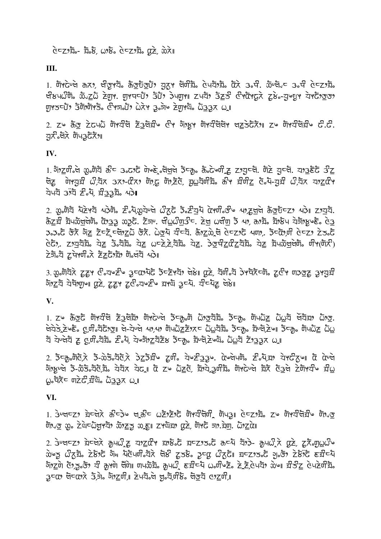### $c^2 \approx 2.5$   $\approx$   $c^2 \approx 2.5$   $\approx$   $c^2 \approx 2.5$   $\approx$   $c^2 \approx 2.5$

III.

1. ਗੋਅਟੇਪਖੇ ಹਨਾ, ਖੰਕੂਅਬੋ. ಹੈਕੁਹਰੁੰਗਾਂ, ਬੁਨ੍ਹਾ ਖੋਯੀਬੋ. ਫੇਪਬੋ,ਬੋ. ਫੋਨੇ 3.ਖੀ. ਲੋਪਖੋ.ਵ 3.ਖੀ ਫੇਵਟ,ਬੋ. ਖੇਲਪਠੰਗ ਲੋਹਟੁਨੇ ਟੇਗੁਮ. ਗੁਮਧਵਪਾਂ ਤੇਪਾਂ ਡੇਪਗੁਮ ਟਪਬਾ ਤੇਟੁਨੇ ਓਮਯੋਮਫ਼ਨੇ ਟਲੇ-ਤਾਅਦੁਮ ਕੋਮਫੋਮਾਤਾ תַוֹל *יוּבְבַנוֹ (אוֹרוּיצָ בִּיהָבְּ הָבִי אָלָ*ט (אוֹר*וּיצָ* 

2. ਟ<sup>6</sup> ਨੋਤ ਟੇਟਪਨੋ ਯੋਖਕੰਬ ਟੇਤਬੋੜੀ ਟੀਖ ਹੋਇਆ ਯੋਖਕੰਬੋਬੇ ਖਣਤੇਰੋਨੈਅ ਟ<sup>6</sup> ਯੋਖਕੰਬੋੜੀ ਟੀ.ਟੀ. ਧਨ ੌਕੋਨੇ ਯੋਪ3ਟੈਨੈਅ

#### IV.

1. ગેं<u>) ट</u>्रणी से छुलाँये क्षेप उन्टर्ी पेण्हे जेलुले उँप्कृ के टेज्जी टू ट'युप्ले. जेटे युप्ले. या<u>उ</u>हेंटे उ<u>ीट</u> ਥੋਟ ਯਾਤਬ ੀੈ ਕੋਨ 379-αੋ79 ਯਾਫ਼ ਯਾਟੋਂ ਗੁਪਬਾਰੀ ਨਾ ਬੋਰੀਟੂ ਫੋ-ਪ-ਤਬ ੀੈ ਕੋਨ ਬਾਟੂਕੋ ਅ ਧੋਪਧੋ 39ੱਧੋ ≥ੇ ਪ੍ਰੋ. ਬੰ33ਬੋ. ਪ੍ਰੇ।

2.  $x_0$ ทั่ว น้อหวั นุวิติ อิ. นุ  $x_0$ วันษั  $x_0$ ี อิ. อิ. อิ. อิ. อิ. อิ. อิ. อิ. อิ. ออยัธอ พุวิ อาวาวั.  $\delta$ בֹצַל צוֹאָסְאַלְפֿוּשׁ, מֹאָכָה בָּבָאָם מַעֲלֹב. בוֹי הוא להוא האָ הואָס האָצֿו אָפֿון אָפֿון א 3.3.5 के बा<u>ट</u> टेन्ट्रे ल्लाय के 2015 के स्पे में दिये के स्थान के स्पेश के स्पेश के स्पेश के स्पे  $c\bar{c}$ , zාয়য়র য়ৈ ১৯ নুরু, যু ১৮২, বুরু, যু মান্ট, বার্ট, বুরু বুরু, বার্ট বুরু, বার্ট, বিরু, בה מו האיסו האלבצה השווא לאור

3. ගුංਯੋਧੋਨੇ ਟੂਟ੍ਰਮ & ਹਘਣੀ ਤੂਰਕਾਪੋਟੋ ਡੈਰਟੋਮਧੋ ਖੇ8 ਕਿੱਟੇ, ਧੋਯੀ ਹੈ ਤੇਮਧੋਨੋਰਯੋ, ਟੂ&ਮ ਯਤਭੂਟੂ ਤਮਹੁਸ਼ੀ गेंग्ट्रंये येपेंगणुणा एटे, दृद्दभ टूर्टन्यर्ष्टि ग्राय उद्या. यी प्याट लेखा

V.

 $1.$   $z$ ৬  $\delta$  তুঁট টাপ্যীপ  $\tilde{z}$  ইন্দ্রীগ টাপ্টেড্গ ইন্দ্রু টা টাত্রীয় ইন্দ্রু টাএট টাইয়ে টাত্র. લે के उपने के सुली के स्था के स्था कर के स्था कर के स्था के स्था के स्था के स्था के स्था के स्था के स्था के स् 

2.  $\overline{5}$ ⊂कृष्णैटेंद्रे  $\overline{5}$ - $\overline{3}$ ठेंद्रैदेंद्रे  $\overline{5}$ टर्ज़िये ट्रणै, येण्टें $3$ उ़ स्पेलेंद्रे के उपदेहणा से सेपेले গাঁধূড়লৈ ই-ঠইউয়েঁইউ য়ই যুঁতু। টু z⊌ এঁz টু য়গ্য যুটীয় টাঁপতে এই উত্ত বৈদ্যত য় முழ்த்த வாட்டு முறித்து மா

#### VI.

1. ਤੇਪਖ਼ਵਟ ਬੇਵਖੇਨੇ ਨੌਵਤੇ ਖ਼ਰੀਵ už ਟੋਇਨ ਯਾਬੀਯੋਗ, ਯੋਪਤੁਜ਼ ਵੇਵਟ ਬੈਂ ਨਾ ਯਾਬੀਯੋਬੀ ਯੋਪਤ টা% χιο ζὰτωτιγλτι ώνες ως ι τιάει αλέ, ότι τη ένα το διζαι

2.  $\frac{1}{2}$   $\frac{1}{2}$   $\frac{1}{2}$   $\frac{1}{2}$   $\frac{1}{2}$   $\frac{1}{2}$   $\frac{1}{2}$   $\frac{1}{2}$   $\frac{1}{2}$   $\frac{1}{2}$   $\frac{1}{2}$   $\frac{1}{2}$   $\frac{1}{2}$   $\frac{1}{2}$   $\frac{1}{2}$   $\frac{1}{2}$   $\frac{1}{2}$   $\frac{1}{2}$   $\frac{1}{2}$   $\frac{1}{2}$   $\frac{1}{2}$   $\frac{1}{2}$ ல் ஜ மீதத், टेरेश्ट गेंव पेंटेपणी येरे जेरे टूठरे, उच्छ प्रेहटें। घटट उन्हें गुल्क टेरेंग्ट हर्येच्प ਼ੁ⊂α› লবেঃ ই,ই ইয়াত আৰু ই৭ই লৈ প্ৰয়ীটিঃ লক্ত্ৰী ওগ্ৰেণী,⊪